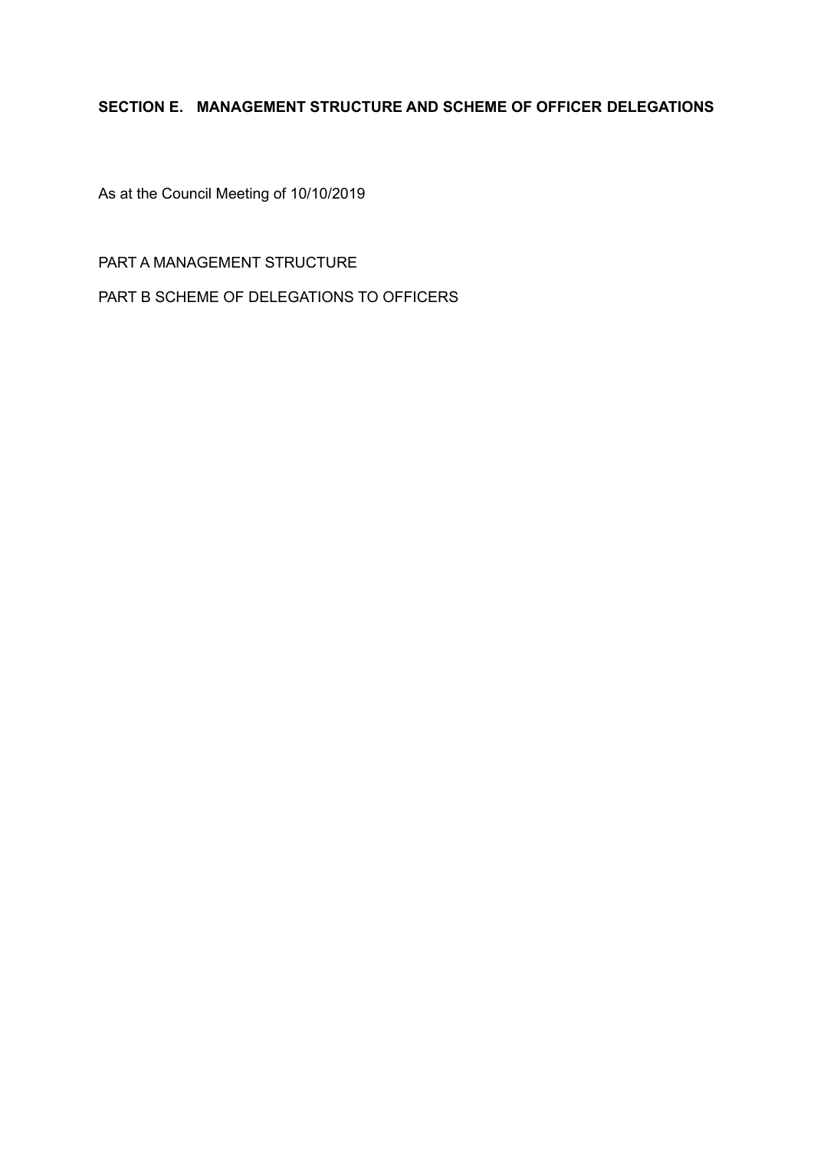# **SECTION E. MANAGEMENT STRUCTURE AND SCHEME OF OFFICER DELEGATIONS**

As at the Council Meeting of 10/10/2019

PART A MANAGEMENT STRUCTURE

PART B SCHEME OF DELEGATIONS TO OFFICERS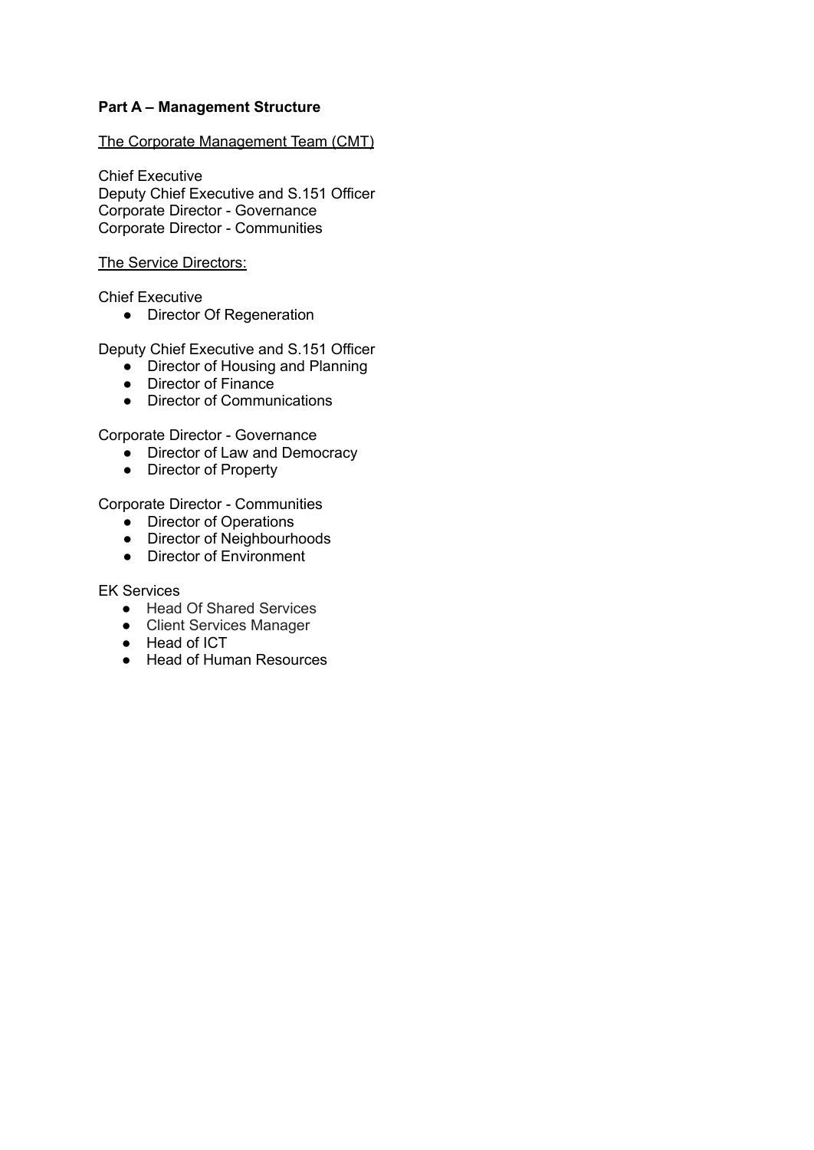## **Part A – Management Structure**

The Corporate Management Team (CMT)

Chief Executive Deputy Chief Executive and S.151 Officer Corporate Director - Governance Corporate Director - Communities

### The Service Directors:

Chief Executive

● Director Of Regeneration

Deputy Chief Executive and S.151 Officer

- Director of Housing and Planning
- Director of Finance
- Director of Communications

Corporate Director - Governance

- Director of Law and Democracy
- Director of Property

Corporate Director - Communities

- Director of Operations
- Director of Neighbourhoods
- Director of Environment

EK Services

- Head Of Shared Services
- Client Services Manager
- Head of ICT
- Head of Human Resources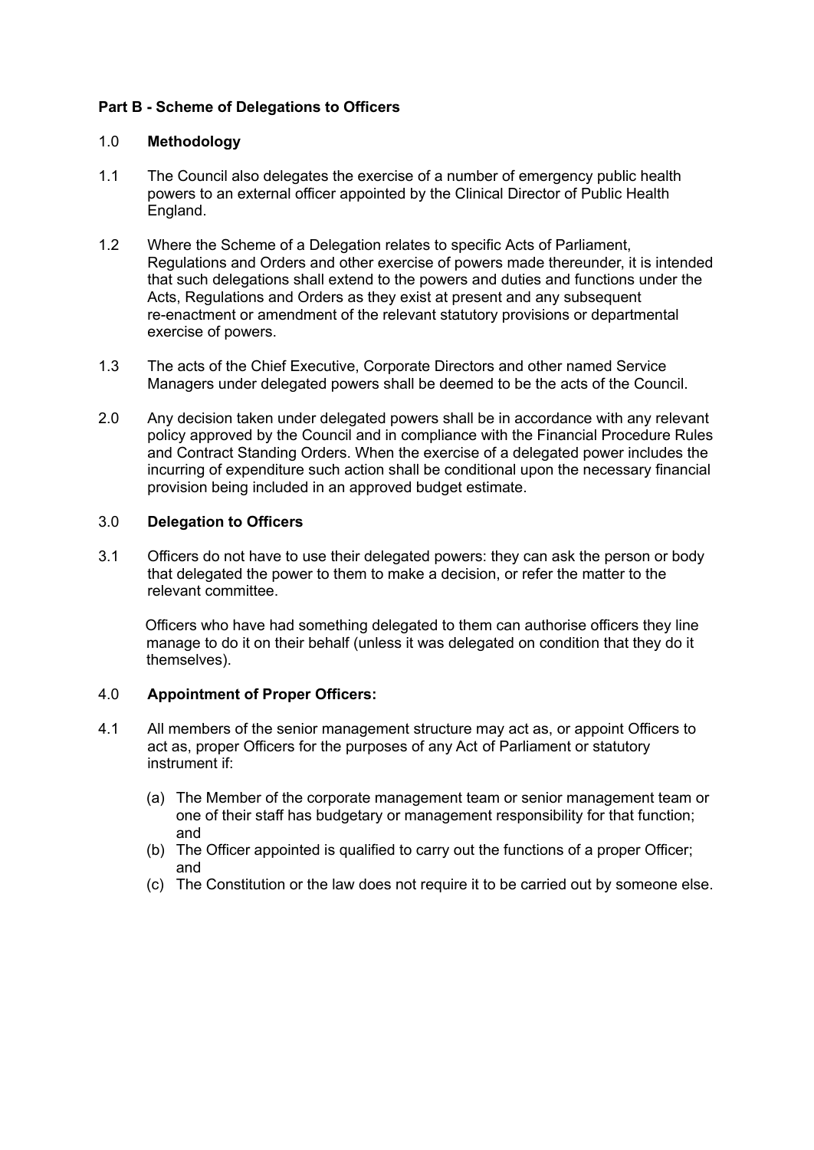## **Part B - Scheme of Delegations to Officers**

## 1.0 **Methodology**

- 1.1 The Council also delegates the exercise of a number of emergency public health powers to an external officer appointed by the Clinical Director of Public Health England.
- 1.2 Where the Scheme of a Delegation relates to specific Acts of Parliament, Regulations and Orders and other exercise of powers made thereunder, it is intended that such delegations shall extend to the powers and duties and functions under the Acts, Regulations and Orders as they exist at present and any subsequent re-enactment or amendment of the relevant statutory provisions or departmental exercise of powers.
- 1.3 The acts of the Chief Executive, Corporate Directors and other named Service Managers under delegated powers shall be deemed to be the acts of the Council.
- 2.0 Any decision taken under delegated powers shall be in accordance with any relevant policy approved by the Council and in compliance with the Financial Procedure Rules and Contract Standing Orders. When the exercise of a delegated power includes the incurring of expenditure such action shall be conditional upon the necessary financial provision being included in an approved budget estimate.

### 3.0 **Delegation to Officers**

3.1 Officers do not have to use their delegated powers: they can ask the person or body that delegated the power to them to make a decision, or refer the matter to the relevant committee.

Officers who have had something delegated to them can authorise officers they line manage to do it on their behalf (unless it was delegated on condition that they do it themselves).

## 4.0 **Appointment of Proper Officers:**

- 4.1 All members of the senior management structure may act as, or appoint Officers to act as, proper Officers for the purposes of any Act of Parliament or statutory instrument if:
	- (a) The Member of the corporate management team or senior management team or one of their staff has budgetary or management responsibility for that function; and
	- (b) The Officer appointed is qualified to carry out the functions of a proper Officer; and
	- (c) The Constitution or the law does not require it to be carried out by someone else.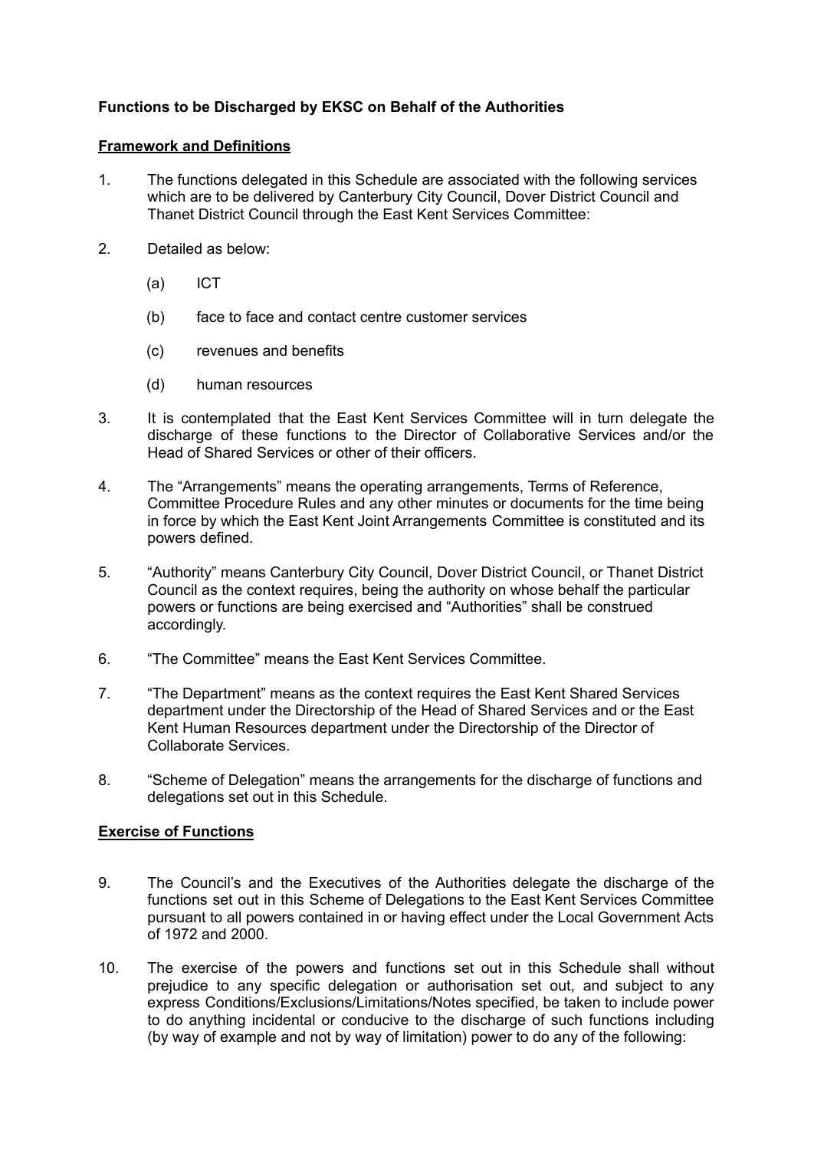## **Functions to be Discharged by EKSC on Behalf of the Authorities**

### **Framework and Definitions**

- 1. The functions delegated in this Schedule are associated with the following services which are to be delivered by Canterbury City Council, Dover District Council and Thanet District Council through the East Kent Services Committee:
- 2. Detailed as below:
	- (a) ICT
	- (b) face to face and contact centre customer services
	- (c) revenues and benefits
	- (d) human resources
- 3. It is contemplated that the East Kent Services Committee will in turn delegate the discharge of these functions to the Director of Collaborative Services and/or the Head of Shared Services or other of their officers.
- 4. The "Arrangements" means the operating arrangements, Terms of Reference, Committee Procedure Rules and any other minutes or documents for the time being in force by which the East Kent Joint Arrangements Committee is constituted and its powers defined.
- 5. "Authority" means Canterbury City Council, Dover District Council, or Thanet District Council as the context requires, being the authority on whose behalf the particular powers or functions are being exercised and "Authorities" shall be construed accordingly.
- 6. "The Committee" means the East Kent Services Committee.
- 7. "The Department" means as the context requires the East Kent Shared Services department under the Directorship of the Head of Shared Services and or the East Kent Human Resources department under the Directorship of the Director of Collaborate Services.
- 8. "Scheme of Delegation" means the arrangements for the discharge of functions and delegations set out in this Schedule.

## **Exercise of Functions**

- 9. The Council's and the Executives of the Authorities delegate the discharge of the functions set out in this Scheme of Delegations to the East Kent Services Committee pursuant to all powers contained in or having effect under the Local Government Acts of 1972 and 2000.
- 10. The exercise of the powers and functions set out in this Schedule shall without prejudice to any specific delegation or authorisation set out, and subject to any express Conditions/Exclusions/Limitations/Notes specified, be taken to include power to do anything incidental or conducive to the discharge of such functions including (by way of example and not by way of limitation) power to do any of the following: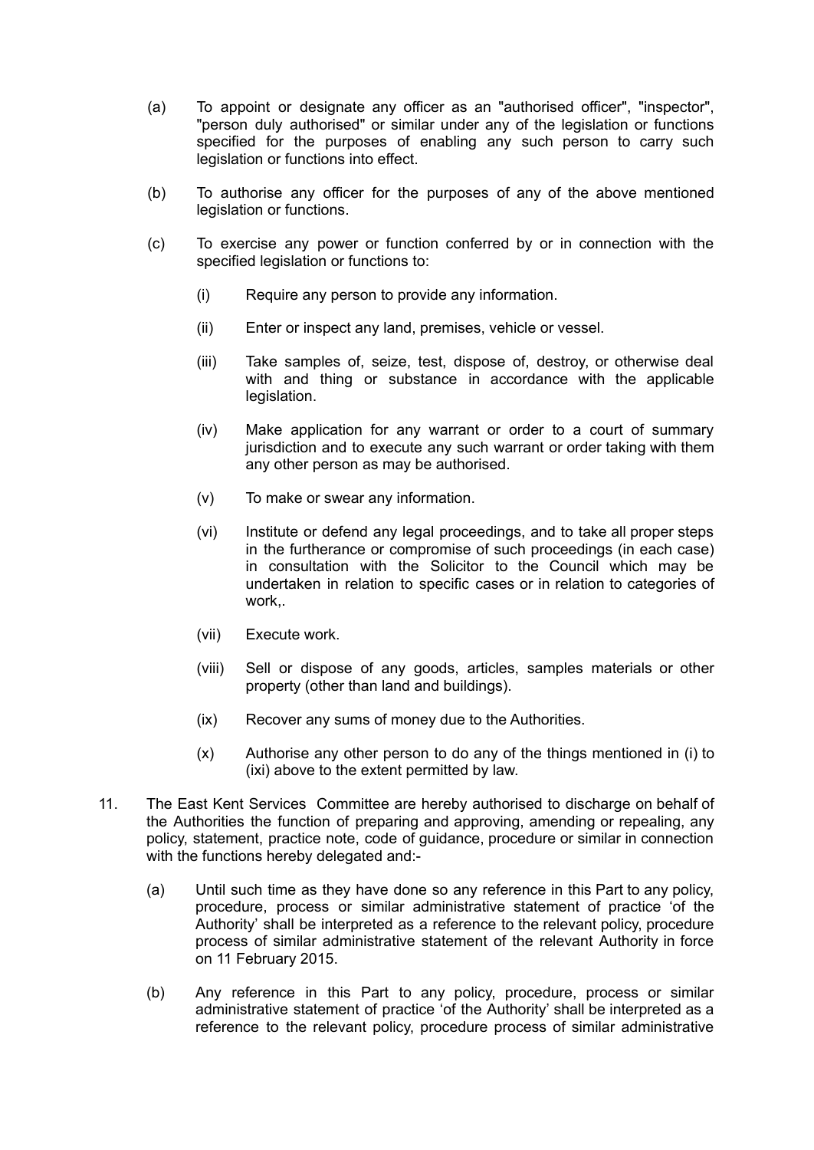- (a) To appoint or designate any officer as an "authorised officer", "inspector", "person duly authorised" or similar under any of the legislation or functions specified for the purposes of enabling any such person to carry such legislation or functions into effect.
- (b) To authorise any officer for the purposes of any of the above mentioned legislation or functions.
- (c) To exercise any power or function conferred by or in connection with the specified legislation or functions to:
	- (i) Require any person to provide any information.
	- (ii) Enter or inspect any land, premises, vehicle or vessel.
	- (iii) Take samples of, seize, test, dispose of, destroy, or otherwise deal with and thing or substance in accordance with the applicable legislation.
	- (iv) Make application for any warrant or order to a court of summary jurisdiction and to execute any such warrant or order taking with them any other person as may be authorised.
	- (v) To make or swear any information.
	- (vi) Institute or defend any legal proceedings, and to take all proper steps in the furtherance or compromise of such proceedings (in each case) in consultation with the Solicitor to the Council which may be undertaken in relation to specific cases or in relation to categories of work,.
	- (vii) Execute work.
	- (viii) Sell or dispose of any goods, articles, samples materials or other property (other than land and buildings).
	- (ix) Recover any sums of money due to the Authorities.
	- (x) Authorise any other person to do any of the things mentioned in (i) to (ixi) above to the extent permitted by law.
- 11. The East Kent Services Committee are hereby authorised to discharge on behalf of the Authorities the function of preparing and approving, amending or repealing, any policy, statement, practice note, code of guidance, procedure or similar in connection with the functions hereby delegated and:-
	- (a) Until such time as they have done so any reference in this Part to any policy, procedure, process or similar administrative statement of practice 'of the Authority' shall be interpreted as a reference to the relevant policy, procedure process of similar administrative statement of the relevant Authority in force on 11 February 2015.
	- (b) Any reference in this Part to any policy, procedure, process or similar administrative statement of practice 'of the Authority' shall be interpreted as a reference to the relevant policy, procedure process of similar administrative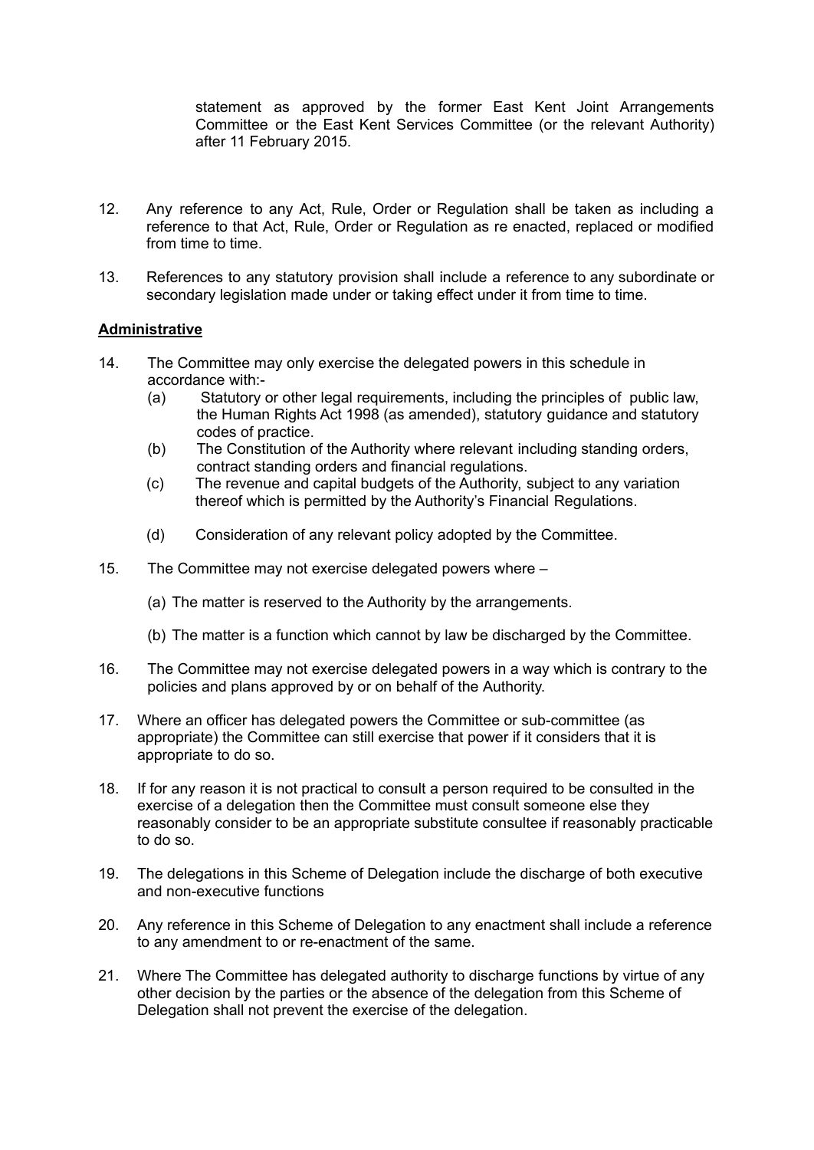statement as approved by the former East Kent Joint Arrangements Committee or the East Kent Services Committee (or the relevant Authority) after 11 February 2015.

- 12. Any reference to any Act, Rule, Order or Regulation shall be taken as including a reference to that Act, Rule, Order or Regulation as re enacted, replaced or modified from time to time.
- 13. References to any statutory provision shall include a reference to any subordinate or secondary legislation made under or taking effect under it from time to time.

### **Administrative**

- 14. The Committee may only exercise the delegated powers in this schedule in accordance with:-
	- (a) Statutory or other legal requirements, including the principles of public law, the Human Rights Act 1998 (as amended), statutory guidance and statutory codes of practice.
	- (b) The Constitution of the Authority where relevant including standing orders, contract standing orders and financial regulations.
	- (c) The revenue and capital budgets of the Authority, subject to any variation thereof which is permitted by the Authority's Financial Regulations.
	- (d) Consideration of any relevant policy adopted by the Committee.
- 15. The Committee may not exercise delegated powers where
	- (a) The matter is reserved to the Authority by the arrangements.
	- (b) The matter is a function which cannot by law be discharged by the Committee.
- 16. The Committee may not exercise delegated powers in a way which is contrary to the policies and plans approved by or on behalf of the Authority.
- 17. Where an officer has delegated powers the Committee or sub-committee (as appropriate) the Committee can still exercise that power if it considers that it is appropriate to do so.
- 18. If for any reason it is not practical to consult a person required to be consulted in the exercise of a delegation then the Committee must consult someone else they reasonably consider to be an appropriate substitute consultee if reasonably practicable to do so.
- 19. The delegations in this Scheme of Delegation include the discharge of both executive and non-executive functions
- 20. Any reference in this Scheme of Delegation to any enactment shall include a reference to any amendment to or re-enactment of the same.
- 21. Where The Committee has delegated authority to discharge functions by virtue of any other decision by the parties or the absence of the delegation from this Scheme of Delegation shall not prevent the exercise of the delegation.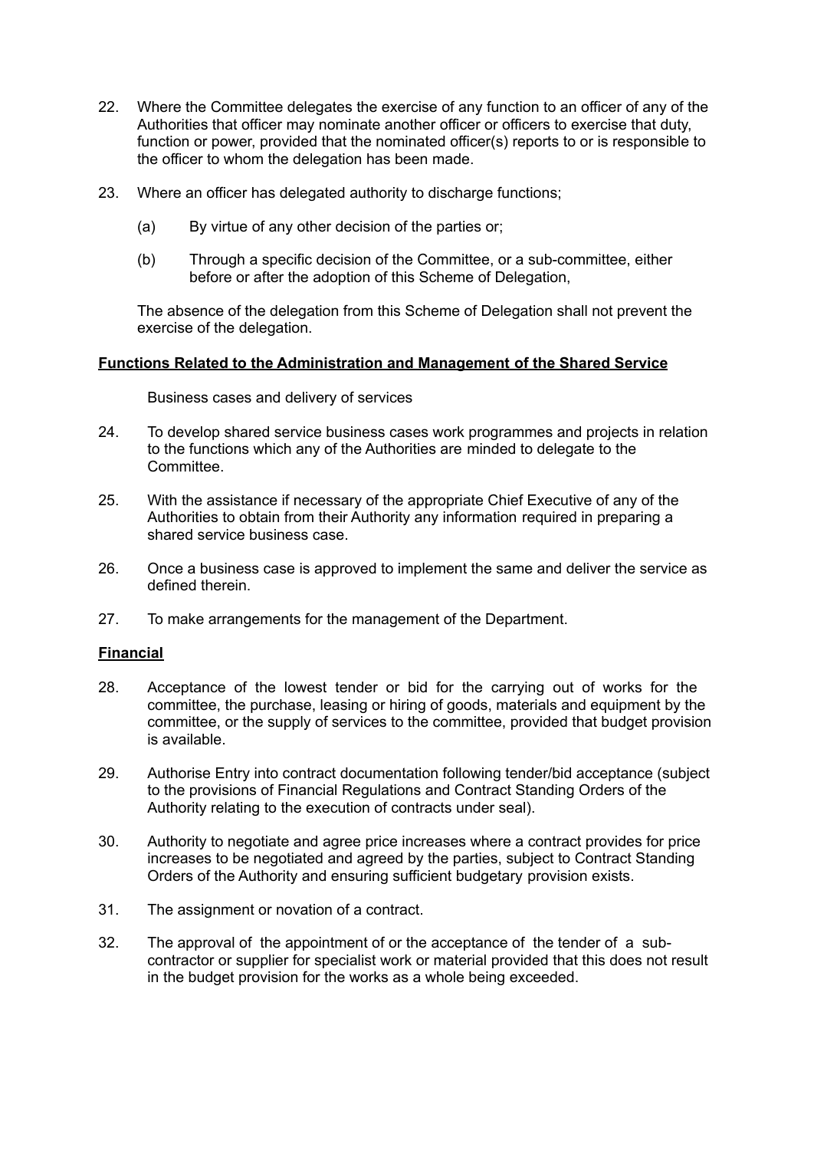- 22. Where the Committee delegates the exercise of any function to an officer of any of the Authorities that officer may nominate another officer or officers to exercise that duty, function or power, provided that the nominated officer(s) reports to or is responsible to the officer to whom the delegation has been made.
- 23. Where an officer has delegated authority to discharge functions;
	- (a) By virtue of any other decision of the parties or;
	- (b) Through a specific decision of the Committee, or a sub-committee, either before or after the adoption of this Scheme of Delegation,

The absence of the delegation from this Scheme of Delegation shall not prevent the exercise of the delegation.

### **Functions Related to the Administration and Management of the Shared Service**

Business cases and delivery of services

- 24. To develop shared service business cases work programmes and projects in relation to the functions which any of the Authorities are minded to delegate to the Committee.
- 25. With the assistance if necessary of the appropriate Chief Executive of any of the Authorities to obtain from their Authority any information required in preparing a shared service business case.
- 26. Once a business case is approved to implement the same and deliver the service as defined therein.
- 27. To make arrangements for the management of the Department.

#### **Financial**

- 28. Acceptance of the lowest tender or bid for the carrying out of works for the committee, the purchase, leasing or hiring of goods, materials and equipment by the committee, or the supply of services to the committee, provided that budget provision is available.
- 29. Authorise Entry into contract documentation following tender/bid acceptance (subject to the provisions of Financial Regulations and Contract Standing Orders of the Authority relating to the execution of contracts under seal).
- 30. Authority to negotiate and agree price increases where a contract provides for price increases to be negotiated and agreed by the parties, subject to Contract Standing Orders of the Authority and ensuring sufficient budgetary provision exists.
- 31. The assignment or novation of a contract.
- 32. The approval of the appointment of or the acceptance of the tender of a subcontractor or supplier for specialist work or material provided that this does not result in the budget provision for the works as a whole being exceeded.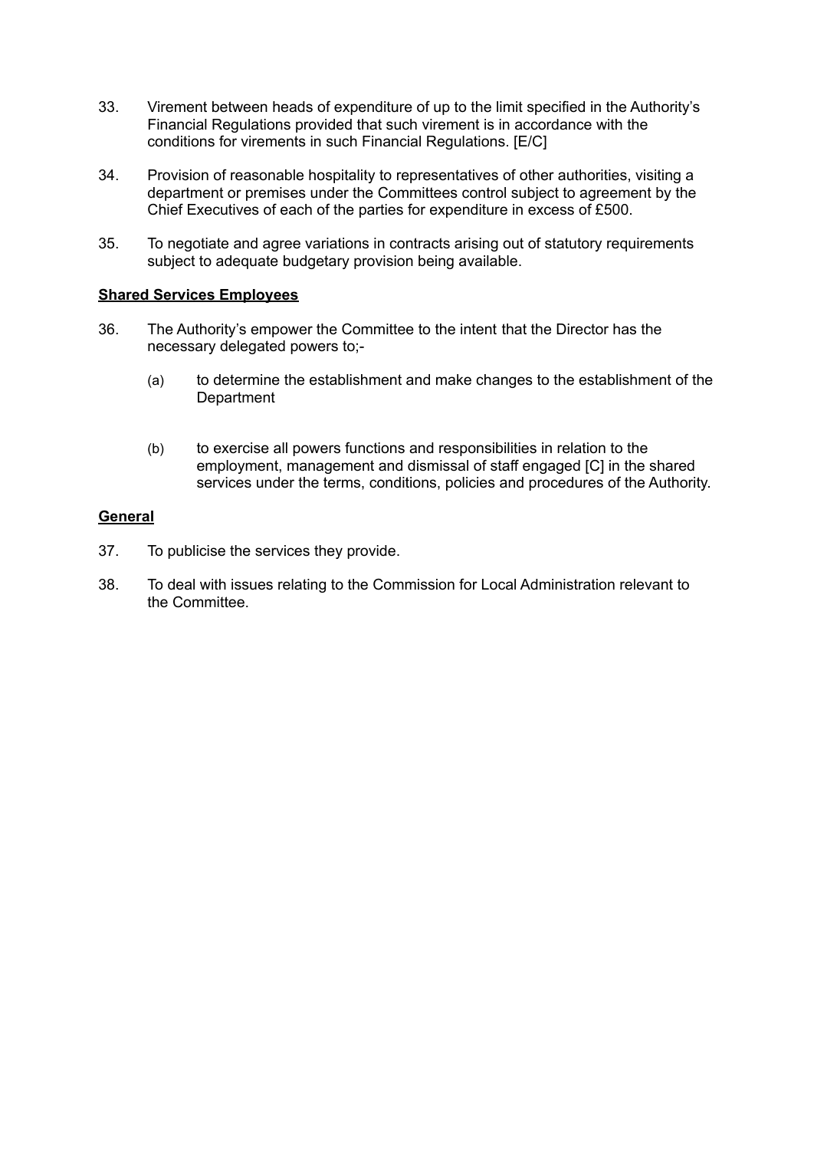- 33. Virement between heads of expenditure of up to the limit specified in the Authority's Financial Regulations provided that such virement is in accordance with the conditions for virements in such Financial Regulations. [E/C]
- 34. Provision of reasonable hospitality to representatives of other authorities, visiting a department or premises under the Committees control subject to agreement by the Chief Executives of each of the parties for expenditure in excess of £500.
- 35. To negotiate and agree variations in contracts arising out of statutory requirements subject to adequate budgetary provision being available.

### **Shared Services Employees**

- 36. The Authority's empower the Committee to the intent that the Director has the necessary delegated powers to;-
	- (a) to determine the establishment and make changes to the establishment of the **Department**
	- (b) to exercise all powers functions and responsibilities in relation to the employment, management and dismissal of staff engaged [C] in the shared services under the terms, conditions, policies and procedures of the Authority.

### **General**

- 37. To publicise the services they provide.
- 38. To deal with issues relating to the Commission for Local Administration relevant to the Committee.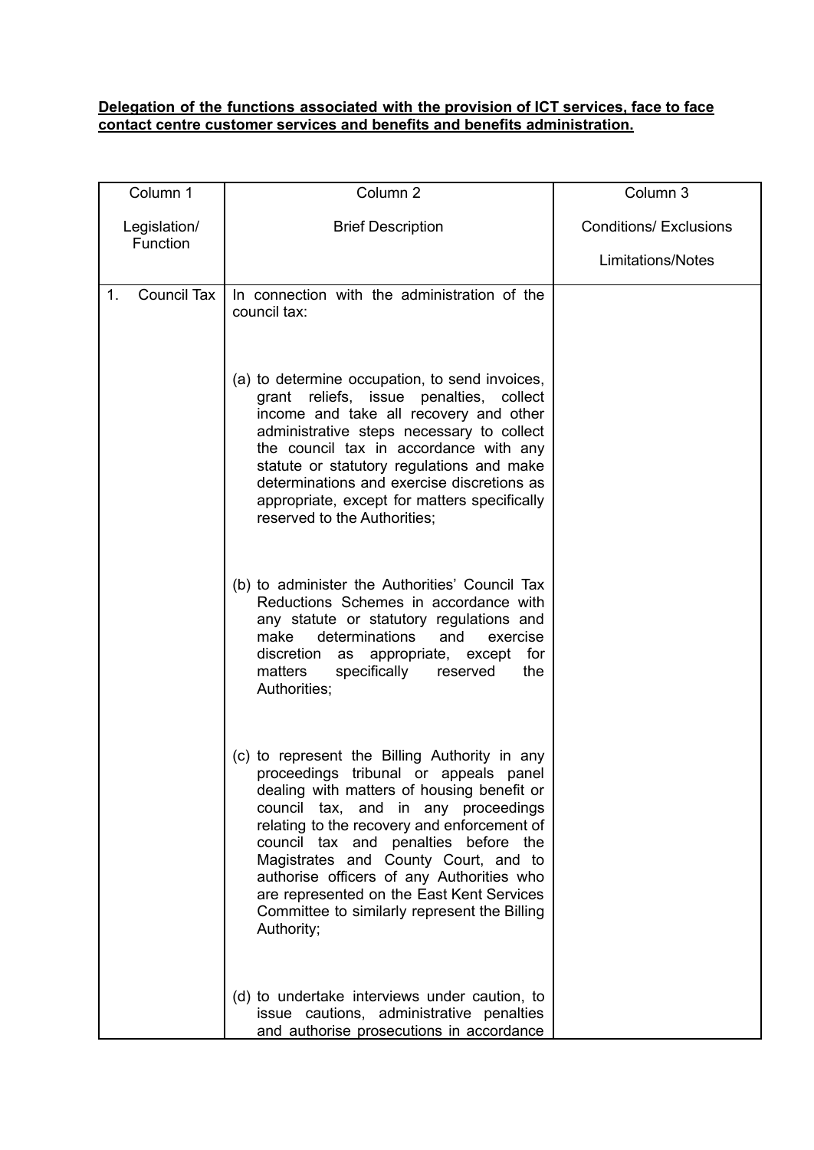### **Delegation of the functions associated with the provision of ICT services, face to face contact centre customer services and benefits and benefits administration.**

| Column 1                 | Column <sub>2</sub>                                                                                                                                                                                                                                                                                                                                                                                                                                                | Column 3                      |
|--------------------------|--------------------------------------------------------------------------------------------------------------------------------------------------------------------------------------------------------------------------------------------------------------------------------------------------------------------------------------------------------------------------------------------------------------------------------------------------------------------|-------------------------------|
| Legislation/             | <b>Brief Description</b>                                                                                                                                                                                                                                                                                                                                                                                                                                           | <b>Conditions/ Exclusions</b> |
| Function                 |                                                                                                                                                                                                                                                                                                                                                                                                                                                                    | <b>Limitations/Notes</b>      |
| <b>Council Tax</b><br>1. | In connection with the administration of the<br>council tax:                                                                                                                                                                                                                                                                                                                                                                                                       |                               |
|                          | (a) to determine occupation, to send invoices,<br>grant reliefs, issue penalties, collect<br>income and take all recovery and other<br>administrative steps necessary to collect<br>the council tax in accordance with any<br>statute or statutory regulations and make<br>determinations and exercise discretions as<br>appropriate, except for matters specifically<br>reserved to the Authorities:                                                              |                               |
|                          | (b) to administer the Authorities' Council Tax<br>Reductions Schemes in accordance with<br>any statute or statutory regulations and<br>make<br>determinations<br>and<br>exercise<br>discretion as appropriate, except for<br>matters<br>specifically<br>reserved<br>the<br>Authorities;                                                                                                                                                                            |                               |
|                          | (c) to represent the Billing Authority in any<br>proceedings tribunal or appeals panel<br>dealing with matters of housing benefit or<br>council tax, and in any proceedings<br>relating to the recovery and enforcement of<br>council tax and penalties before the<br>Magistrates and County Court, and to<br>authorise officers of any Authorities who<br>are represented on the East Kent Services<br>Committee to similarly represent the Billing<br>Authority; |                               |
|                          | (d) to undertake interviews under caution, to<br>issue cautions, administrative penalties<br>and authorise prosecutions in accordance                                                                                                                                                                                                                                                                                                                              |                               |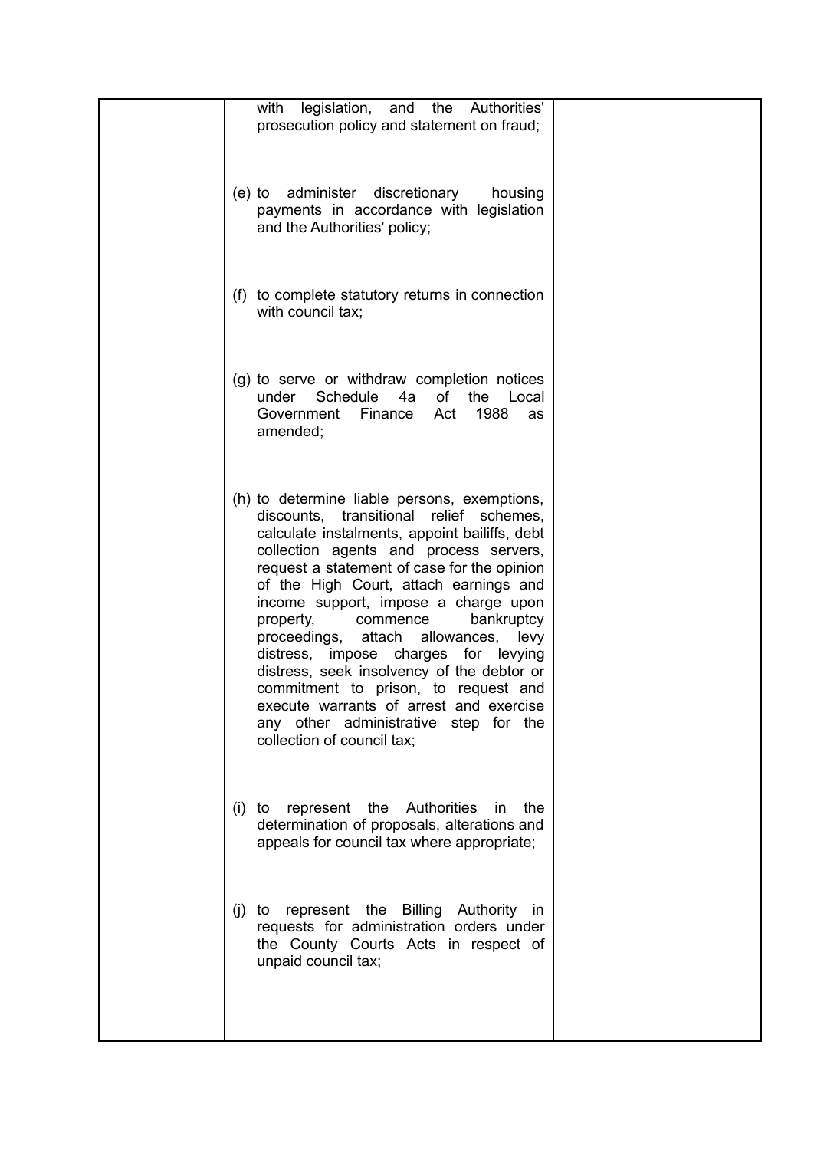| with<br>legislation, and the<br>Authorities'<br>prosecution policy and statement on fraud;                                                                                                                                                                                                                                                                                                                                                                                                                                                                                                                                                               |
|----------------------------------------------------------------------------------------------------------------------------------------------------------------------------------------------------------------------------------------------------------------------------------------------------------------------------------------------------------------------------------------------------------------------------------------------------------------------------------------------------------------------------------------------------------------------------------------------------------------------------------------------------------|
| (e) to administer discretionary<br>housing<br>payments in accordance with legislation<br>and the Authorities' policy;                                                                                                                                                                                                                                                                                                                                                                                                                                                                                                                                    |
| (f) to complete statutory returns in connection<br>with council tax;                                                                                                                                                                                                                                                                                                                                                                                                                                                                                                                                                                                     |
| (g) to serve or withdraw completion notices<br>under Schedule<br>of the Local<br>4a<br>1988<br>Government<br>Finance<br>Act<br>as<br>amended;                                                                                                                                                                                                                                                                                                                                                                                                                                                                                                            |
| (h) to determine liable persons, exemptions,<br>discounts, transitional relief schemes,<br>calculate instalments, appoint bailiffs, debt<br>collection agents and process servers,<br>request a statement of case for the opinion<br>of the High Court, attach earnings and<br>income support, impose a charge upon<br>property,<br>commence<br>bankruptcy<br>attach allowances,<br>proceedings,<br>levy<br>distress, impose charges for levying<br>distress, seek insolvency of the debtor or<br>commitment to prison, to request and<br>execute warrants of arrest and exercise<br>any other administrative step for the<br>collection of council tax; |
| represent the Authorities<br>the<br>in<br>$(i)$ to<br>determination of proposals, alterations and<br>appeals for council tax where appropriate;                                                                                                                                                                                                                                                                                                                                                                                                                                                                                                          |
| represent the Billing Authority in<br>$(i)$ to<br>requests for administration orders under<br>the County Courts Acts in respect of<br>unpaid council tax;                                                                                                                                                                                                                                                                                                                                                                                                                                                                                                |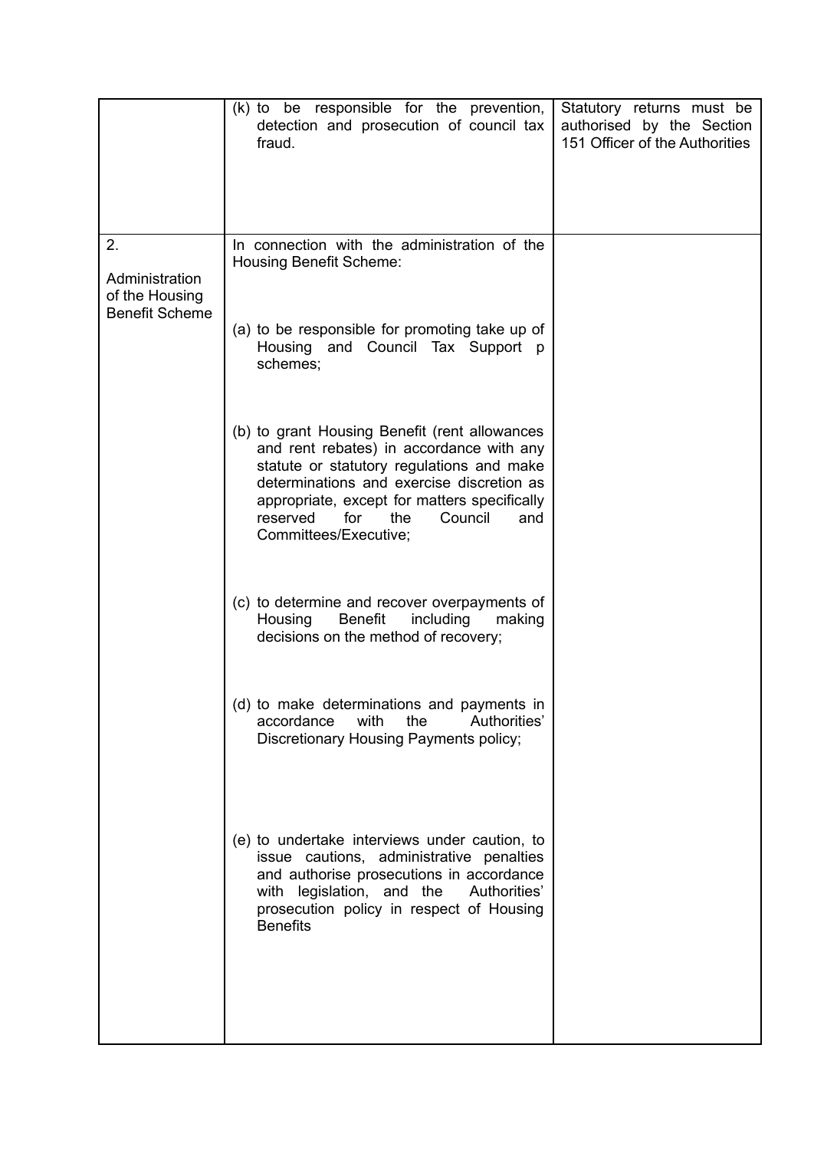|                                                                 | (k) to be responsible for the prevention,<br>detection and prosecution of council tax<br>fraud.                                                                                                                                                                                                          | Statutory returns must be<br>authorised by the Section<br>151 Officer of the Authorities |
|-----------------------------------------------------------------|----------------------------------------------------------------------------------------------------------------------------------------------------------------------------------------------------------------------------------------------------------------------------------------------------------|------------------------------------------------------------------------------------------|
| 2.<br>Administration<br>of the Housing<br><b>Benefit Scheme</b> | In connection with the administration of the<br><b>Housing Benefit Scheme:</b>                                                                                                                                                                                                                           |                                                                                          |
|                                                                 | (a) to be responsible for promoting take up of<br>Housing and Council Tax Support p<br>schemes;                                                                                                                                                                                                          |                                                                                          |
|                                                                 | (b) to grant Housing Benefit (rent allowances<br>and rent rebates) in accordance with any<br>statute or statutory regulations and make<br>determinations and exercise discretion as<br>appropriate, except for matters specifically<br>reserved<br>for<br>the<br>Council<br>and<br>Committees/Executive; |                                                                                          |
|                                                                 | (c) to determine and recover overpayments of<br><b>Benefit</b><br>Housing<br>including<br>making<br>decisions on the method of recovery;                                                                                                                                                                 |                                                                                          |
|                                                                 | (d) to make determinations and payments in<br>with<br>Authorities'<br>accordance<br>the<br>Discretionary Housing Payments policy;                                                                                                                                                                        |                                                                                          |
|                                                                 | (e) to undertake interviews under caution, to<br>issue cautions, administrative penalties<br>and authorise prosecutions in accordance<br>with legislation, and the<br>Authorities'<br>prosecution policy in respect of Housing<br><b>Benefits</b>                                                        |                                                                                          |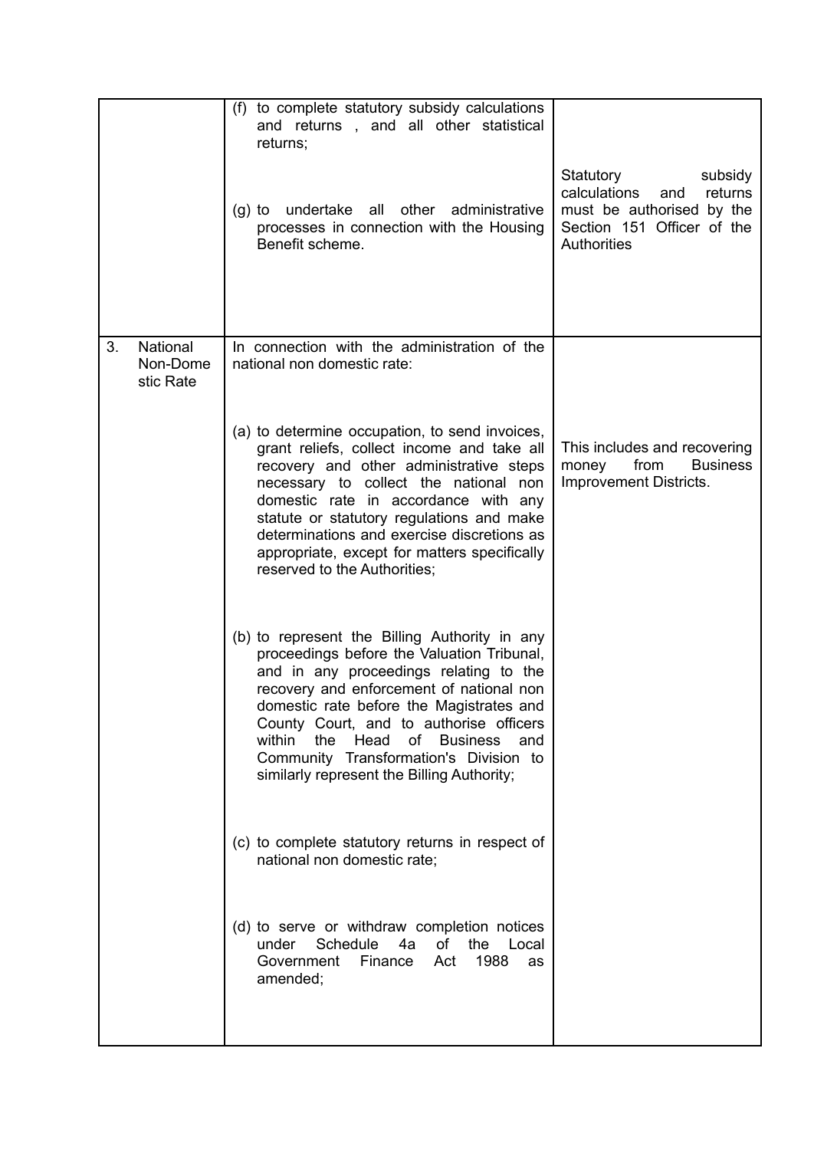|    |                                   | (f) to complete statutory subsidy calculations<br>and returns, and all other statistical<br>returns;<br>(g) to undertake<br>all<br>other<br>administrative<br>processes in connection with the Housing<br>Benefit scheme.                                                                                                                                                                                       | Statutory<br>subsidy<br>calculations<br>returns<br>and<br>must be authorised by the<br>Section 151 Officer of the<br><b>Authorities</b> |
|----|-----------------------------------|-----------------------------------------------------------------------------------------------------------------------------------------------------------------------------------------------------------------------------------------------------------------------------------------------------------------------------------------------------------------------------------------------------------------|-----------------------------------------------------------------------------------------------------------------------------------------|
| 3. | National<br>Non-Dome<br>stic Rate | In connection with the administration of the<br>national non domestic rate:                                                                                                                                                                                                                                                                                                                                     |                                                                                                                                         |
|    |                                   | (a) to determine occupation, to send invoices,<br>grant reliefs, collect income and take all<br>recovery and other administrative steps<br>necessary to collect the national non<br>domestic rate in accordance with any<br>statute or statutory regulations and make<br>determinations and exercise discretions as<br>appropriate, except for matters specifically<br>reserved to the Authorities;             | This includes and recovering<br>from<br><b>Business</b><br>money<br><b>Improvement Districts.</b>                                       |
|    |                                   | (b) to represent the Billing Authority in any<br>proceedings before the Valuation Tribunal,<br>and in any proceedings relating to the<br>recovery and enforcement of national non<br>domestic rate before the Magistrates and<br>County Court, and to authorise officers<br>within<br>the<br>Head<br>of Business<br>and<br>Community Transformation's Division to<br>similarly represent the Billing Authority; |                                                                                                                                         |
|    |                                   | (c) to complete statutory returns in respect of<br>national non domestic rate;                                                                                                                                                                                                                                                                                                                                  |                                                                                                                                         |
|    |                                   | (d) to serve or withdraw completion notices<br>Schedule<br>under<br>4a<br>of<br>the<br>Local<br>1988<br>Government<br>Finance<br>Act<br>as<br>amended;                                                                                                                                                                                                                                                          |                                                                                                                                         |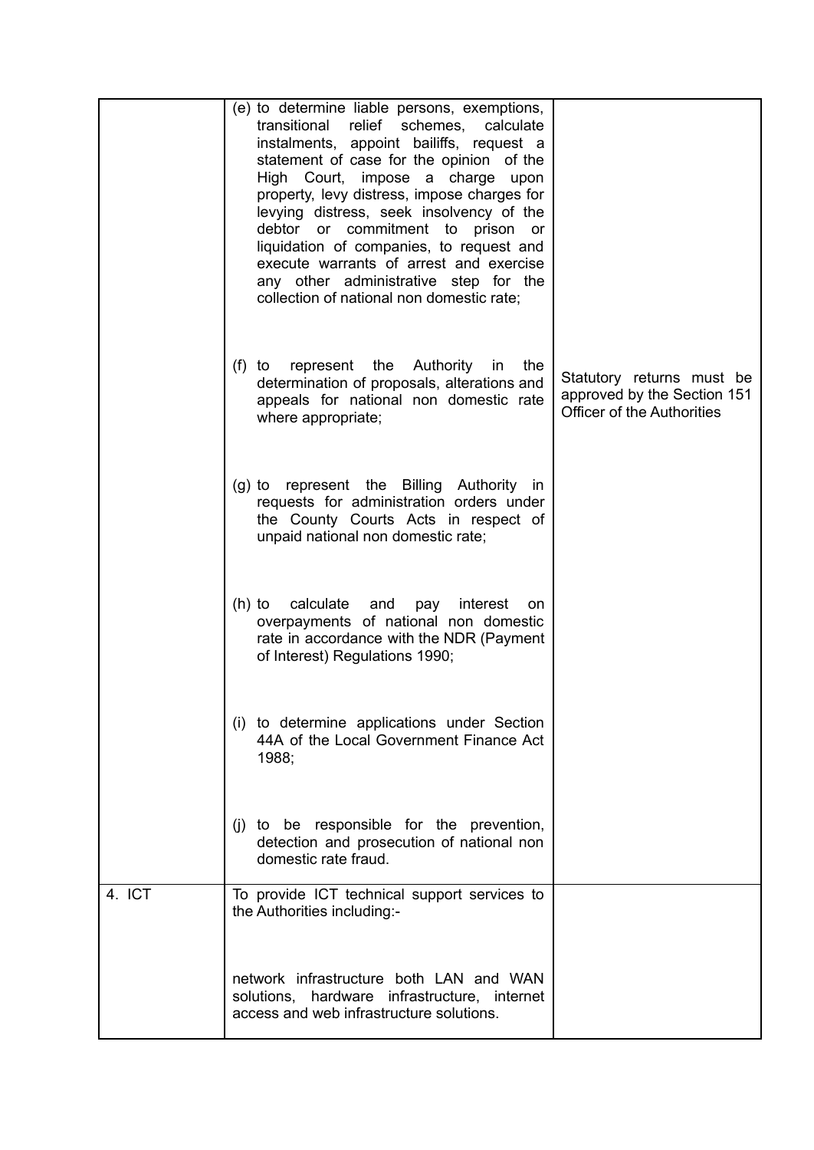|        | (e) to determine liable persons, exemptions,<br>transitional relief schemes, calculate<br>instalments, appoint bailiffs, request a<br>statement of case for the opinion of the<br>High Court, impose a charge upon<br>property, levy distress, impose charges for<br>levying distress, seek insolvency of the<br>debtor or commitment to prison<br>or<br>liquidation of companies, to request and<br>execute warrants of arrest and exercise<br>any other administrative step for the<br>collection of national non domestic rate; |                                                                                               |
|--------|------------------------------------------------------------------------------------------------------------------------------------------------------------------------------------------------------------------------------------------------------------------------------------------------------------------------------------------------------------------------------------------------------------------------------------------------------------------------------------------------------------------------------------|-----------------------------------------------------------------------------------------------|
|        | (f) to represent the Authority in<br>the<br>determination of proposals, alterations and<br>appeals for national non domestic rate<br>where appropriate;                                                                                                                                                                                                                                                                                                                                                                            | Statutory returns must be<br>approved by the Section 151<br><b>Officer of the Authorities</b> |
|        | (g) to represent the Billing Authority in<br>requests for administration orders under<br>the County Courts Acts in respect of<br>unpaid national non domestic rate;                                                                                                                                                                                                                                                                                                                                                                |                                                                                               |
|        | (h) to calculate<br>and<br>pay<br>interest<br>on.<br>overpayments of national non domestic<br>rate in accordance with the NDR (Payment<br>of Interest) Regulations 1990;                                                                                                                                                                                                                                                                                                                                                           |                                                                                               |
|        | (i) to determine applications under Section<br>44A of the Local Government Finance Act<br>1988;                                                                                                                                                                                                                                                                                                                                                                                                                                    |                                                                                               |
|        | (i) to be responsible for the prevention,<br>detection and prosecution of national non<br>domestic rate fraud.                                                                                                                                                                                                                                                                                                                                                                                                                     |                                                                                               |
| 4. ICT | To provide ICT technical support services to<br>the Authorities including:-                                                                                                                                                                                                                                                                                                                                                                                                                                                        |                                                                                               |
|        | network infrastructure both LAN and WAN<br>solutions, hardware infrastructure, internet<br>access and web infrastructure solutions.                                                                                                                                                                                                                                                                                                                                                                                                |                                                                                               |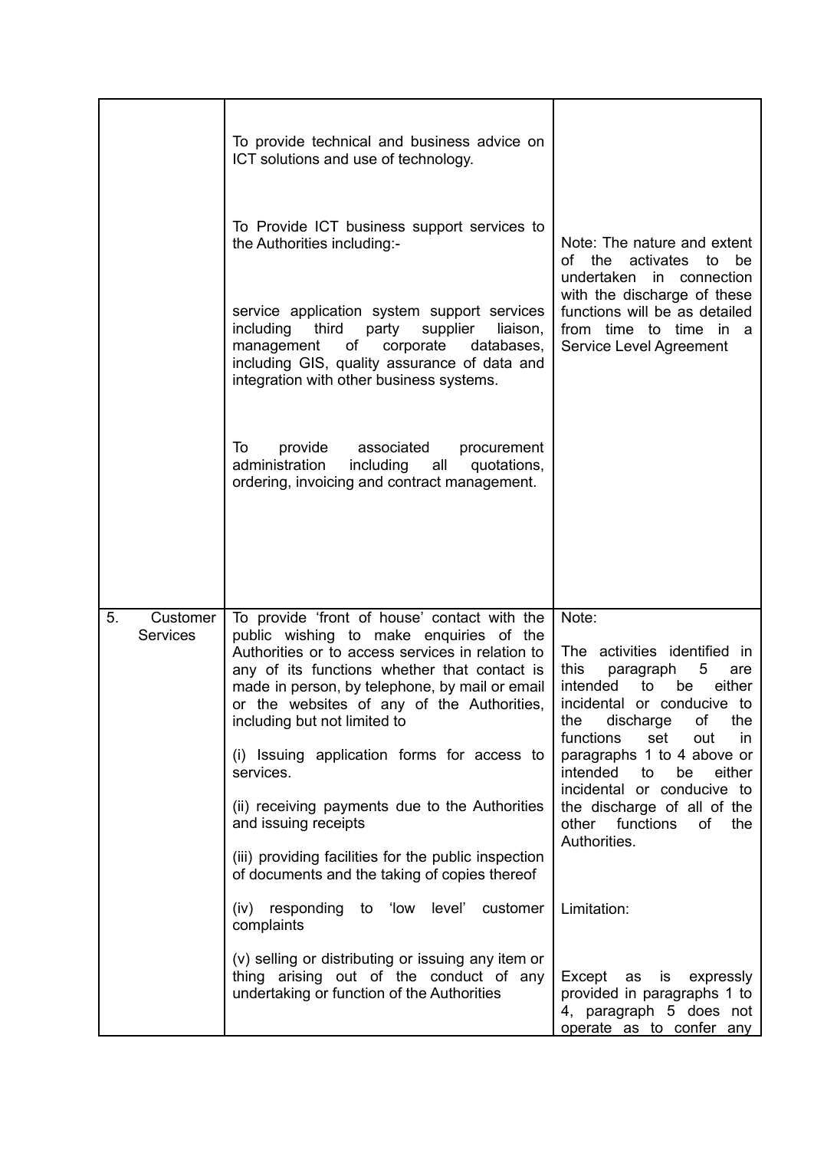|                                   | To provide technical and business advice on<br>ICT solutions and use of technology.<br>To Provide ICT business support services to<br>the Authorities including:-<br>service application system support services<br>including<br>third<br>party<br>supplier<br>liaison,<br>management<br>corporate<br>of<br>databases,<br>including GIS, quality assurance of data and<br>integration with other business systems.<br>provide associated<br>To<br>procurement<br>administration<br>including all<br>quotations,<br>ordering, invoicing and contract management.                                                                                                                                                                                                                       | Note: The nature and extent<br>of the activates to<br>be<br>undertaken in connection<br>with the discharge of these<br>functions will be as detailed<br>from time to time in a<br>Service Level Agreement                                                                                                                                                                                                                                                                                                                  |
|-----------------------------------|---------------------------------------------------------------------------------------------------------------------------------------------------------------------------------------------------------------------------------------------------------------------------------------------------------------------------------------------------------------------------------------------------------------------------------------------------------------------------------------------------------------------------------------------------------------------------------------------------------------------------------------------------------------------------------------------------------------------------------------------------------------------------------------|----------------------------------------------------------------------------------------------------------------------------------------------------------------------------------------------------------------------------------------------------------------------------------------------------------------------------------------------------------------------------------------------------------------------------------------------------------------------------------------------------------------------------|
| 5.<br>Customer<br><b>Services</b> | To provide 'front of house' contact with the<br>public wishing to make enquiries of the<br>Authorities or to access services in relation to<br>any of its functions whether that contact is<br>made in person, by telephone, by mail or email<br>or the websites of any of the Authorities,<br>including but not limited to<br>(i) Issuing application forms for access to<br>services.<br>(ii) receiving payments due to the Authorities<br>and issuing receipts<br>(iii) providing facilities for the public inspection<br>of documents and the taking of copies thereof<br>(iv) responding to 'low level'<br>customer<br>complaints<br>(v) selling or distributing or issuing any item or<br>thing arising out of the conduct of any<br>undertaking or function of the Authorities | Note:<br>The activities identified in<br>this<br>5<br>paragraph<br>are<br>intended<br>either<br>to<br>be<br>incidental or conducive to<br>discharge<br>the<br>the<br>of<br>functions<br>set<br>out<br>in<br>paragraphs 1 to 4 above or<br>intended<br>either<br>to<br>be<br>incidental or conducive to<br>the discharge of all of the<br>other functions<br>of<br>the<br>Authorities.<br>Limitation:<br>Except as<br>is<br>expressly<br>provided in paragraphs 1 to<br>4, paragraph 5 does not<br>operate as to confer any |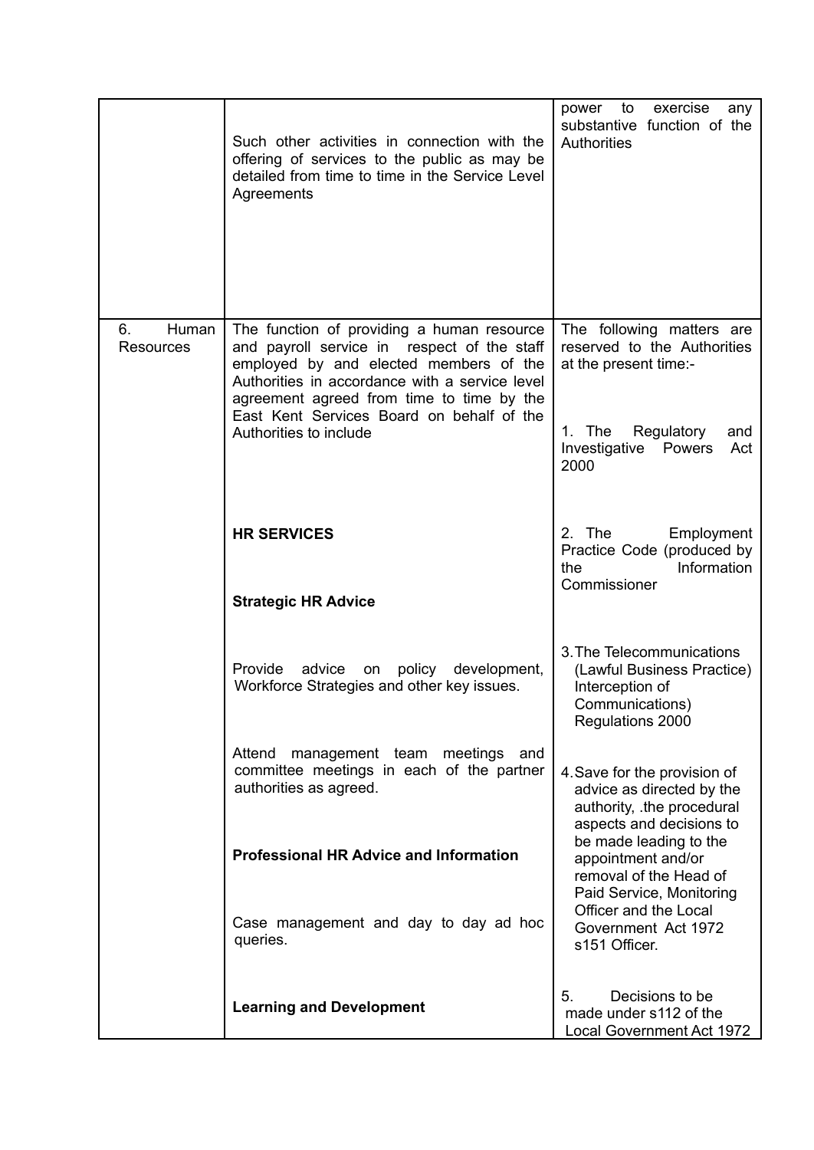|                                 | Such other activities in connection with the<br>offering of services to the public as may be<br>detailed from time to time in the Service Level<br>Agreements                                                                                                                                             | to<br>exercise<br>power<br>any<br>substantive function of the<br><b>Authorities</b>                                                                        |
|---------------------------------|-----------------------------------------------------------------------------------------------------------------------------------------------------------------------------------------------------------------------------------------------------------------------------------------------------------|------------------------------------------------------------------------------------------------------------------------------------------------------------|
| 6.<br>Human<br><b>Resources</b> | The function of providing a human resource<br>and payroll service in respect of the staff<br>employed by and elected members of the<br>Authorities in accordance with a service level<br>agreement agreed from time to time by the<br>East Kent Services Board on behalf of the<br>Authorities to include | The following matters are<br>reserved to the Authorities<br>at the present time:-<br>1. The<br>Regulatory<br>and<br>Investigative<br>Powers<br>Act<br>2000 |
|                                 | <b>HR SERVICES</b><br><b>Strategic HR Advice</b>                                                                                                                                                                                                                                                          | 2. The<br>Employment<br>Practice Code (produced by<br>Information<br>the<br>Commissioner                                                                   |
|                                 | Provide<br>advice<br>policy development,<br>on<br>Workforce Strategies and other key issues.                                                                                                                                                                                                              | 3. The Telecommunications<br>(Lawful Business Practice)<br>Interception of<br>Communications)<br>Regulations 2000                                          |
|                                 | Attend<br>management team meetings<br>and<br>committee meetings in each of the partner<br>authorities as agreed.                                                                                                                                                                                          | 4. Save for the provision of<br>advice as directed by the<br>authority, .the procedural<br>aspects and decisions to<br>be made leading to the              |
|                                 | <b>Professional HR Advice and Information</b><br>Case management and day to day ad hoc<br>queries.                                                                                                                                                                                                        | appointment and/or<br>removal of the Head of<br>Paid Service, Monitoring<br>Officer and the Local<br>Government Act 1972<br>s151 Officer.                  |
|                                 | <b>Learning and Development</b>                                                                                                                                                                                                                                                                           | Decisions to be<br>5.<br>made under s112 of the<br>Local Government Act 1972                                                                               |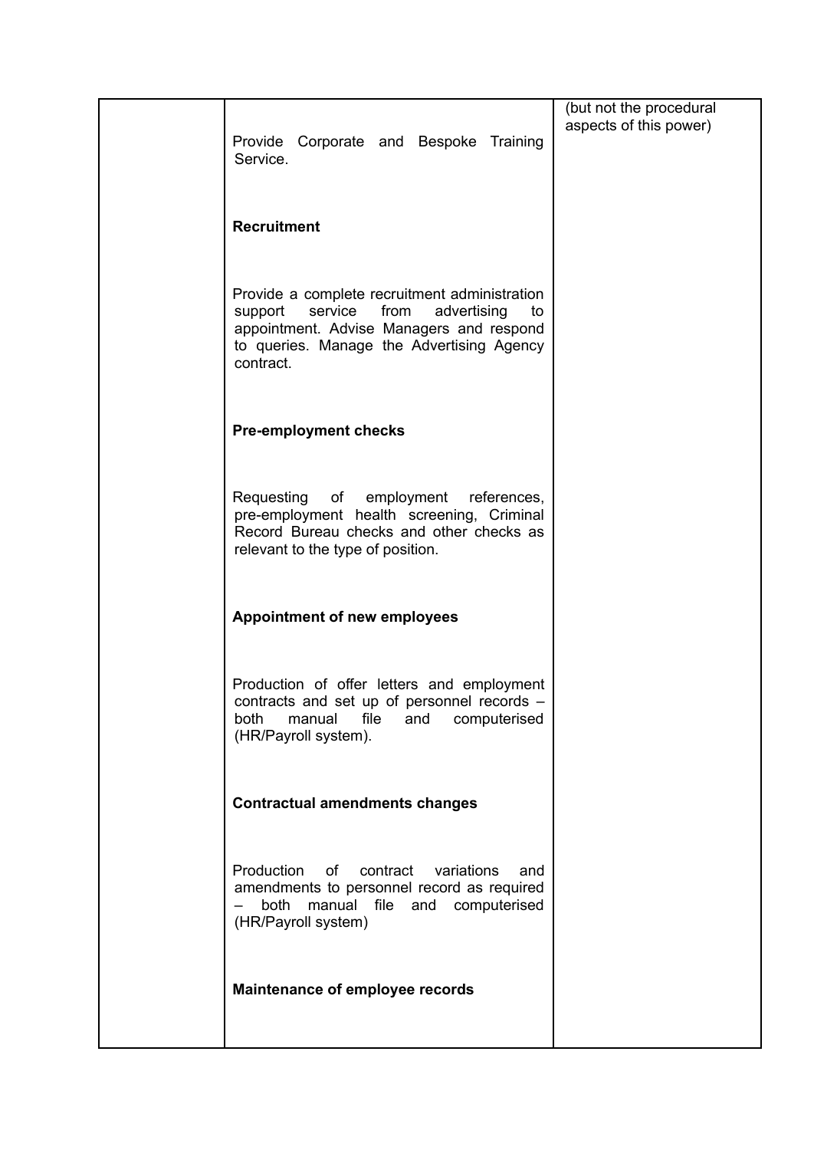| Provide Corporate and Bespoke Training<br>Service.                                                                                                                                                     | (but not the procedural<br>aspects of this power) |
|--------------------------------------------------------------------------------------------------------------------------------------------------------------------------------------------------------|---------------------------------------------------|
| <b>Recruitment</b>                                                                                                                                                                                     |                                                   |
| Provide a complete recruitment administration<br>advertising<br>support<br>service<br>from<br>to<br>appointment. Advise Managers and respond<br>to queries. Manage the Advertising Agency<br>contract. |                                                   |
| <b>Pre-employment checks</b>                                                                                                                                                                           |                                                   |
| Requesting of employment references,<br>pre-employment health screening, Criminal<br>Record Bureau checks and other checks as<br>relevant to the type of position.                                     |                                                   |
| <b>Appointment of new employees</b>                                                                                                                                                                    |                                                   |
| Production of offer letters and employment<br>contracts and set up of personnel records -<br>file<br>computerised<br>both<br>manual<br>and<br>(HR/Payroll system).                                     |                                                   |
| <b>Contractual amendments changes</b>                                                                                                                                                                  |                                                   |
| Production<br>of<br>contract<br>variations<br>and<br>amendments to personnel record as required<br>both<br>manual<br>file<br>and computerised<br>(HR/Payroll system)                                   |                                                   |
| Maintenance of employee records                                                                                                                                                                        |                                                   |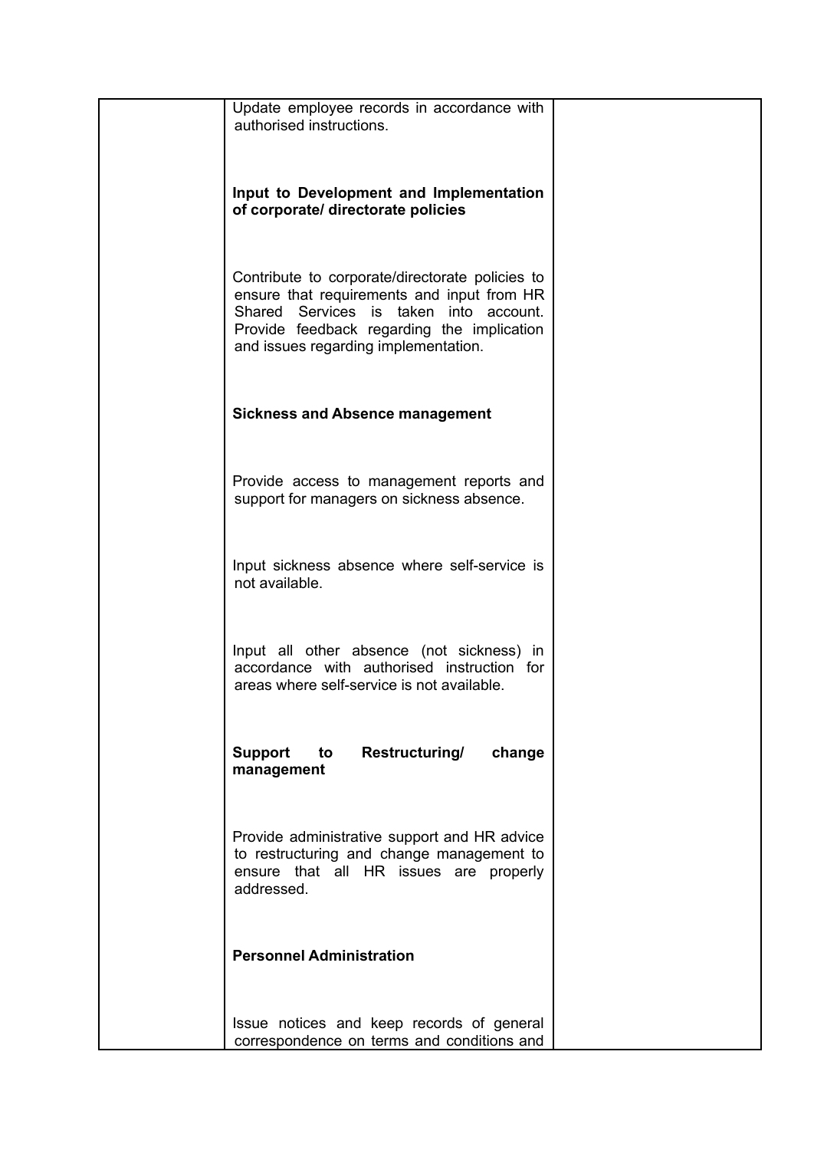| Update employee records in accordance with<br>authorised instructions.                                                                                                                                                        |  |
|-------------------------------------------------------------------------------------------------------------------------------------------------------------------------------------------------------------------------------|--|
| Input to Development and Implementation<br>of corporate/ directorate policies                                                                                                                                                 |  |
| Contribute to corporate/directorate policies to<br>ensure that requirements and input from HR<br>Shared Services is taken into account.<br>Provide feedback regarding the implication<br>and issues regarding implementation. |  |
| <b>Sickness and Absence management</b>                                                                                                                                                                                        |  |
| Provide access to management reports and<br>support for managers on sickness absence.                                                                                                                                         |  |
| Input sickness absence where self-service is<br>not available.                                                                                                                                                                |  |
| Input all other absence (not sickness) in<br>accordance with authorised instruction for<br>areas where self-service is not available.                                                                                         |  |
| Support<br><b>Restructuring/</b><br>to<br>change<br>management                                                                                                                                                                |  |
| Provide administrative support and HR advice<br>to restructuring and change management to<br>ensure that all HR issues are properly<br>addressed.                                                                             |  |
| <b>Personnel Administration</b>                                                                                                                                                                                               |  |
| Issue notices and keep records of general                                                                                                                                                                                     |  |
| correspondence on terms and conditions and                                                                                                                                                                                    |  |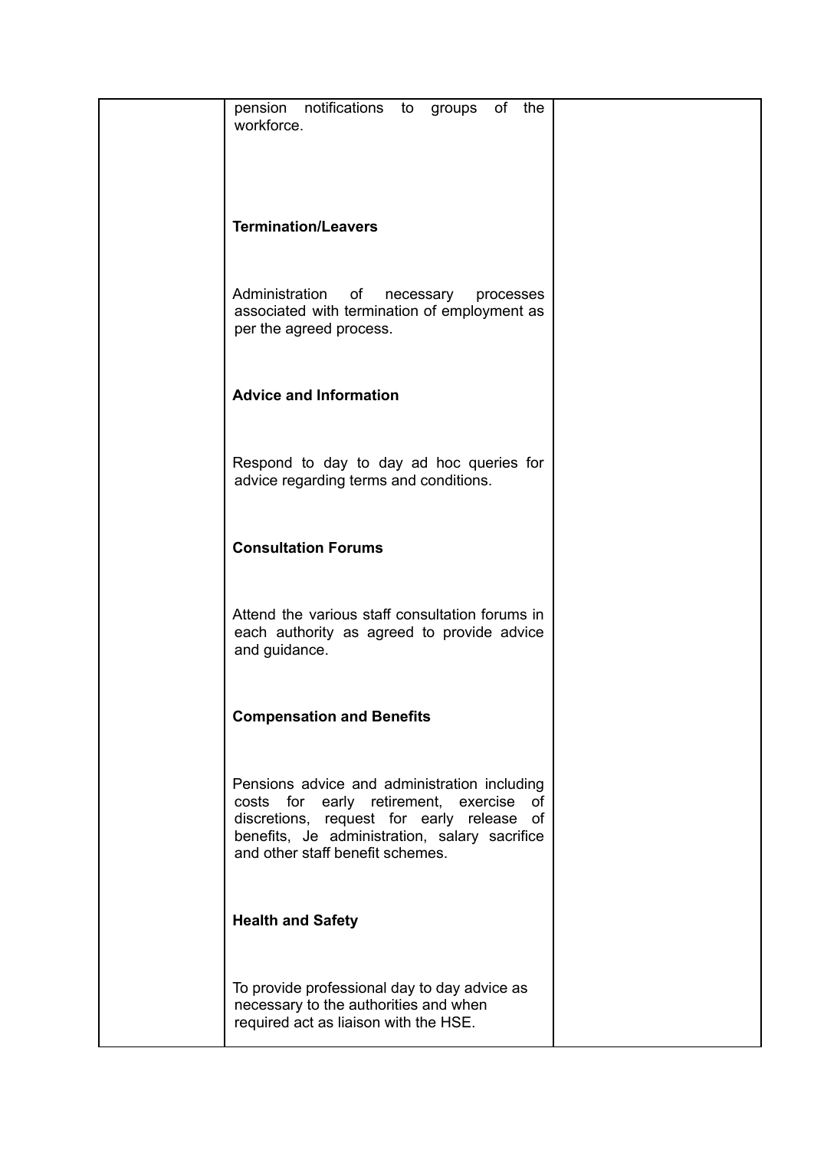| pension notifications to groups of the<br>workforce.                                                                                                                                                                         |  |
|------------------------------------------------------------------------------------------------------------------------------------------------------------------------------------------------------------------------------|--|
| <b>Termination/Leavers</b>                                                                                                                                                                                                   |  |
| Administration<br>of<br>necessary<br>processes<br>associated with termination of employment as<br>per the agreed process.                                                                                                    |  |
| <b>Advice and Information</b>                                                                                                                                                                                                |  |
| Respond to day to day ad hoc queries for<br>advice regarding terms and conditions.                                                                                                                                           |  |
| <b>Consultation Forums</b>                                                                                                                                                                                                   |  |
| Attend the various staff consultation forums in<br>each authority as agreed to provide advice<br>and guidance.                                                                                                               |  |
| <b>Compensation and Benefits</b>                                                                                                                                                                                             |  |
| Pensions advice and administration including<br>costs for early retirement, exercise<br>of<br>discretions, request for early release of<br>benefits, Je administration, salary sacrifice<br>and other staff benefit schemes. |  |
| <b>Health and Safety</b>                                                                                                                                                                                                     |  |
| To provide professional day to day advice as<br>necessary to the authorities and when<br>required act as liaison with the HSE.                                                                                               |  |